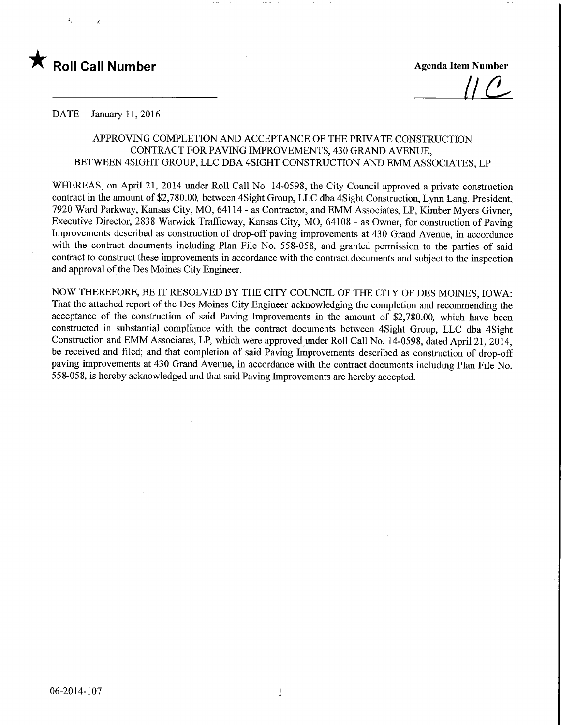

<u>[| C</u>

DATE January 11, 2016

## APPROVING COMPLETION AND ACCEPTANCE OF THE PRIVATE CONSTRUCTION CONTRACT FOR PAVING IMPROVEMENTS, 430 GRAND AVENUE, BETWEEN 4SIGHT GROUP, LLC DBA 4SIGHT CONSTRUCTION AND EMM ASSOCIATES, LP

WHEREAS, on April 21, 2014 under Roll Call No. 14-0598, the City Council approved a private construction contract in the amount of \$2,780.00, between 4Sight Group, LLC dba 4Sight Construction, Lynn Lang, President, 7920 Ward Parkway, Kansas City, MO, 64114 - as Contractor, and EMM Associates, LP, Kimber Myers Givner, Executive Director, 2838 Warwick Trafficway, Kansas City, MO, 64108 - as Owner, for construction of Paving Improvements described as construction of drop-off paving improvements at 430 Grand Avenue, in accordance with the contract documents including Plan File No. 558-058, and granted permission to the parties of said contract to construct these improvements in accordance with the contract documents and subject to the inspection and approval of the Des Moines City Engineer.

NOW THEREFORE, BE IT RESOLVED BY THE CITY COUNCIL OF THE CITY OF DES MOINES, IOWA: That the attached report of the Des Moines City Engineer acknowledging the completion and recommending the acceptance of the construction of said Paving Improvements in the amount of \$2,780.00, which have been constructed in substantial compliance with the contract documents between 4Sight Group, LLC dba 4Sight Construction and EMM Associates, LP, which were approved under Roll Call No. 14-0598, dated April 21, 2014, be received and filed; and that completion of said Paving Improvements described as construction of drop-off paving improvements at 430 Grand Avenue, in accordance with the contract documents including Plan File No. 558-058, is hereby acknowledged and that said Paving Improvements are hereby accepted.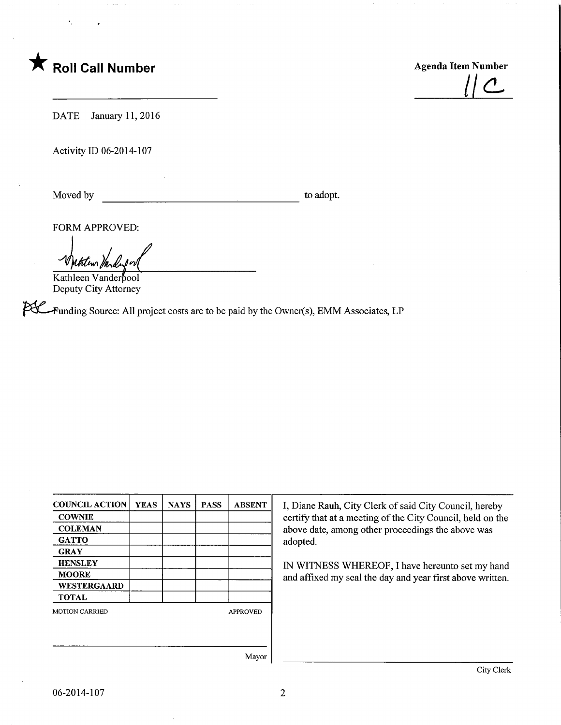

 $||C$ 

DATE January 11, 2016

Activity ID 06-2014-107

Moved by to adopt.

FORM APPROVED:

tation Mari

Kathleen Vanderpool Deputy City Attorney

Funding Source: All project costs are to be paid by the Owner(s), EMM Associates, LP

| <b>COUNCIL ACTION</b> | <b>YEAS</b> | <b>NAYS</b> | <b>PASS</b> | <b>ABSENT</b>   |
|-----------------------|-------------|-------------|-------------|-----------------|
| <b>COWNIE</b>         |             |             |             |                 |
| <b>COLEMAN</b>        |             |             |             |                 |
| <b>GATTO</b>          |             |             |             |                 |
| <b>GRAY</b>           |             |             |             |                 |
| <b>HENSLEY</b>        |             |             |             |                 |
| <b>MOORE</b>          |             |             |             |                 |
| WESTERGAARD           |             |             |             |                 |
| <b>TOTAL</b>          |             |             |             |                 |
| <b>MOTION CARRIED</b> |             |             |             | <b>APPROVED</b> |
|                       |             |             |             |                 |
|                       |             |             |             |                 |
|                       |             |             |             |                 |
|                       |             |             |             | Mayor           |

I, Diane Rauh, City Clerk of said City Council, hereby certify that at a meeting of the City Council, held on the above date, among other proceedings the above was adopted.

IN WITNESS WHEREOF, I have hereunto set my hand and affixed my seal the day and year first above written.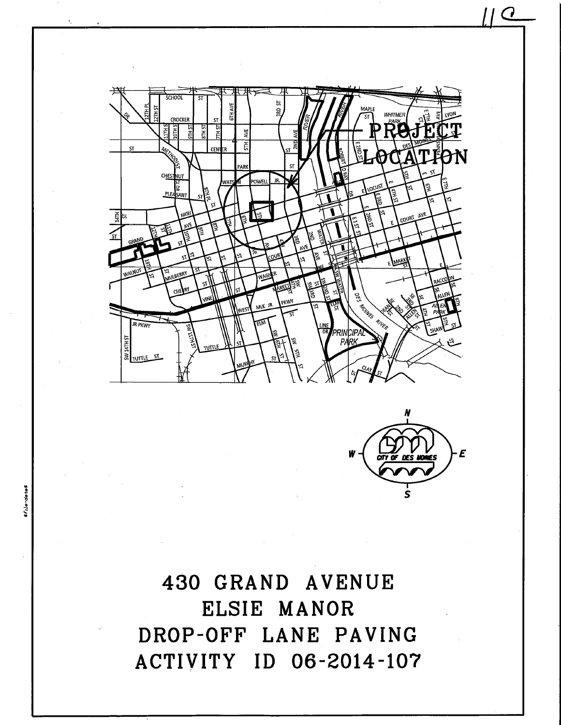



11 Q

430 GRAND AVENUE ELSIE MANOR DROP-OFF LANE PAVING ACTIVITY ID 06-2014-107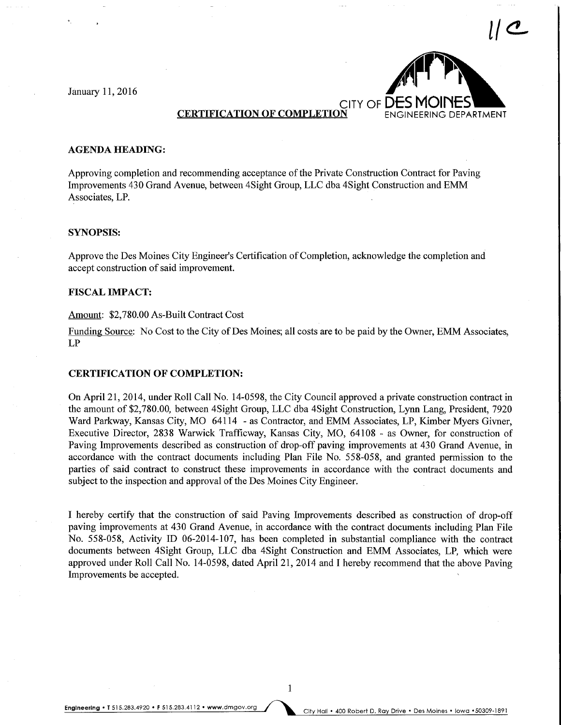January 11,2016



### CERTIFICATION OF COMPLETION ENGINEERING DEPARTMENT

#### AGENDA HEADING:

Approving completion and recommending acceptance of the Private Construction Contract for Paving Improvements 430 Grand Avenue, between 4Sight Group, LLC dba 4Sight Construction and EMM Associates, LP.

#### SYNOPSIS:

Approve the Des Moines City Engineer's Certification of Completion, acknowledge the completion and accept construction of said improvement.

### FISCAL IMPACT:

#### Amount: \$2,780.00 As-Built Contract Cost

Funding Source: No Cost to the City of Des Moines; all costs are to be paid by the Owner, EMM Associates, LP

## CERTIFICATION OF COMPLETION:

On April 21, 2014, under Roll Call No. 14-0598, the City Council approved a private construction contract in the amount of \$2,780.00, between 4Sight Group, LLC dba 4Sight Construction, Lynn Lang, President, 7920 Ward Parkway, Kansas City, MO 64114 - as Contractor, and EMM Associates, LP, Kimber Myers Givner, Executive Director, 2838 Warwick Trafficway, Kansas City, MO, 64108 - as Owner, for construction of Paving Improvements described as construction of drop-off paving improvements at 430 Grand Avenue, in accordance with the contract documents including Plan File No. 558-058, and granted permission to the parties of said contract to construct these improvements in accordance with the contract documents and subject to the inspection and approval of the Des Moines City Engineer.

I hereby certify that the construction of said Paving Improvements described as construction of drop-off paving improvements at 430 Grand Avenue, in accordance with the contract documents including Plan File No. 558-058, Activity ID 06-2014-107, has been completed in substantial compliance with the contract documents between 4Sight Group, LLC dba 4Sight Construction and EMM Associates, LP, which were approved under Roll Call No. 14-0598, dated April 21, 2014 and I hereby recommend that the above Paving Improvements be accepted.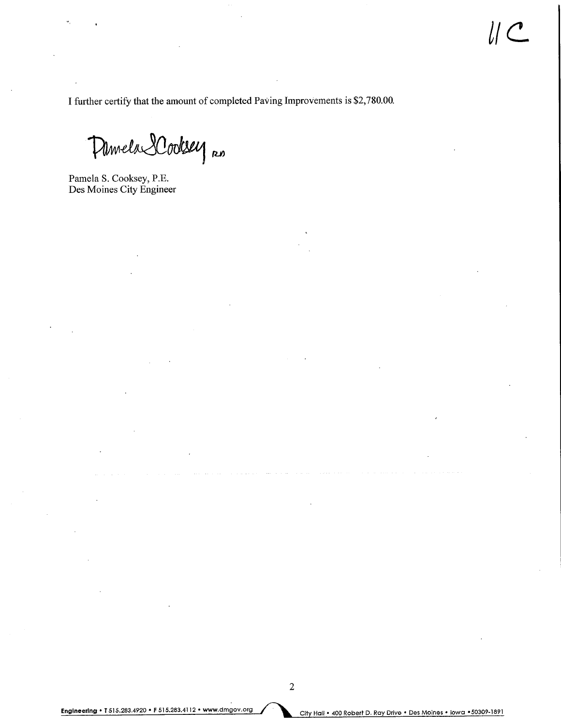I further certify that the amount of completed Paving Improvements is \$2,780.00.

Damela Lodesey no

Pamela S. Cooksey, P.E. Des Moines City Engineer